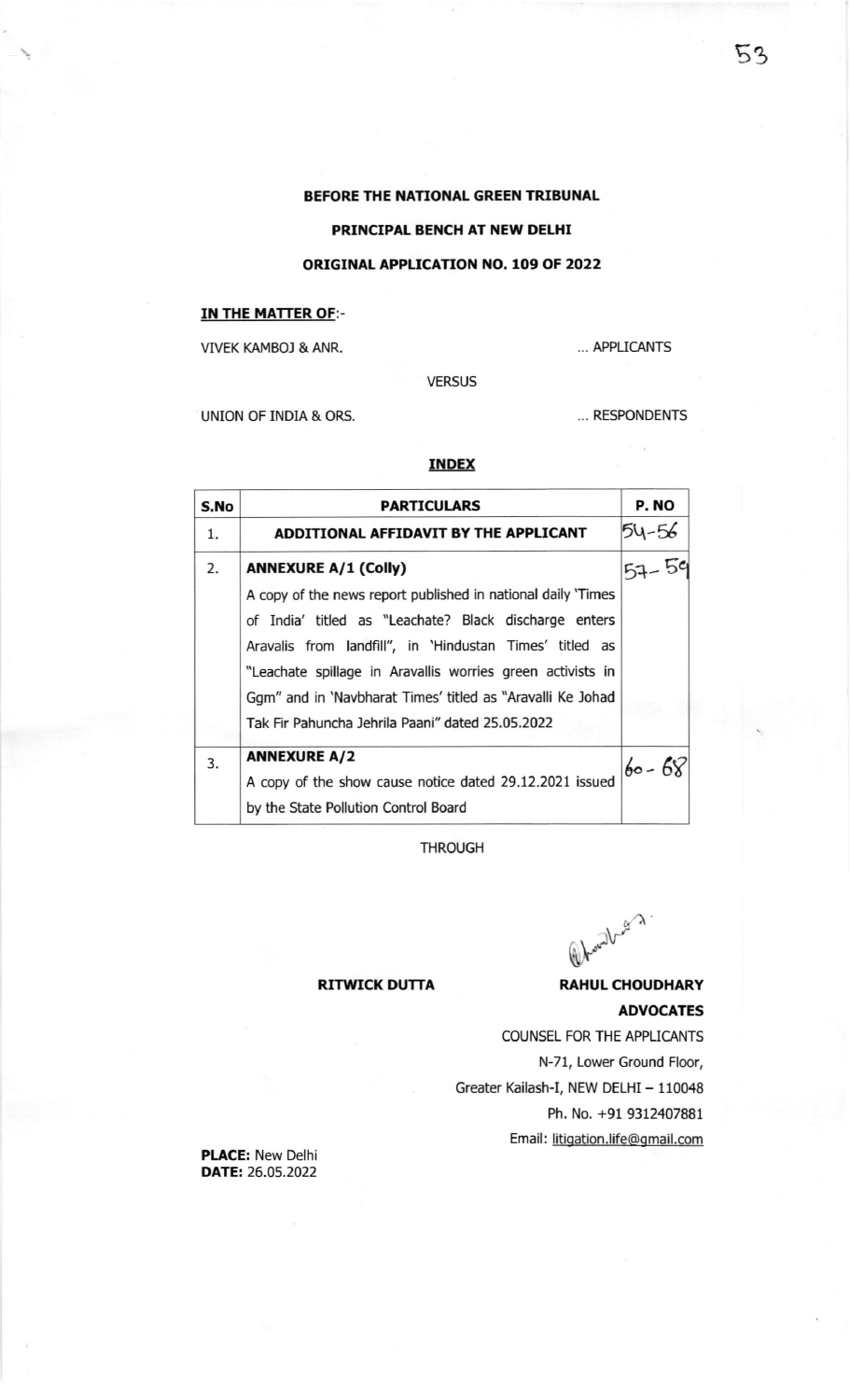## BEFORE THE NATIONAL GREEN TRIBUNAL

# PRINCIPAL BENCH AT NEW DELHI

# ORIGINAL APPLICATION NO. 109 OF 2022

## IN THE MATTER OF:-

VIVEK KAMBOJ & ANR.

... APPLICANTS

VERSUS

UNION OF INDIA & ORS.

... RESPONDENTS

# INDEX

| S.No | <b>PARTICULARS</b>                                           | P. NO     |
|------|--------------------------------------------------------------|-----------|
| 1.   | ADDITIONAL AFFIDAVIT BY THE APPLICANT                        | 54-56     |
| 2.   | <b>ANNEXURE A/1 (Colly)</b>                                  | $57 - 59$ |
|      | A copy of the news report published in national daily 'Times |           |
|      | of India' titled as "Leachate? Black discharge enters        |           |
|      | Aravalis from landfill", in 'Hindustan Times' titled as      |           |
|      | "Leachate spillage in Aravallis worries green activists in   |           |
|      | Ggm" and in 'Navbharat Times' titled as "Aravalli Ke Johad   |           |
|      | Tak Fir Pahuncha Jehrila Paani" dated 25.05.2022             |           |
| 3.   | <b>ANNEXURE A/2</b>                                          | $60 - 68$ |
|      | A copy of the show cause notice dated 29.12.2021 issued      |           |
|      | by the State Pollution Control Board                         |           |

THROUGH

(a) hourd ray

## RITWICK DUTTA RAHUL CHOUDHARY

# ADVOCATES

COUNSEL FOR THE APPLICANTS N-71, Lower Ground Floor, Greater Kailash-I, NEW DELHI - 110048 Ph. No. +91 9312407881 Email: litigation.life@gmail.com

PLACE: New Delhi DATE: 26.05.2022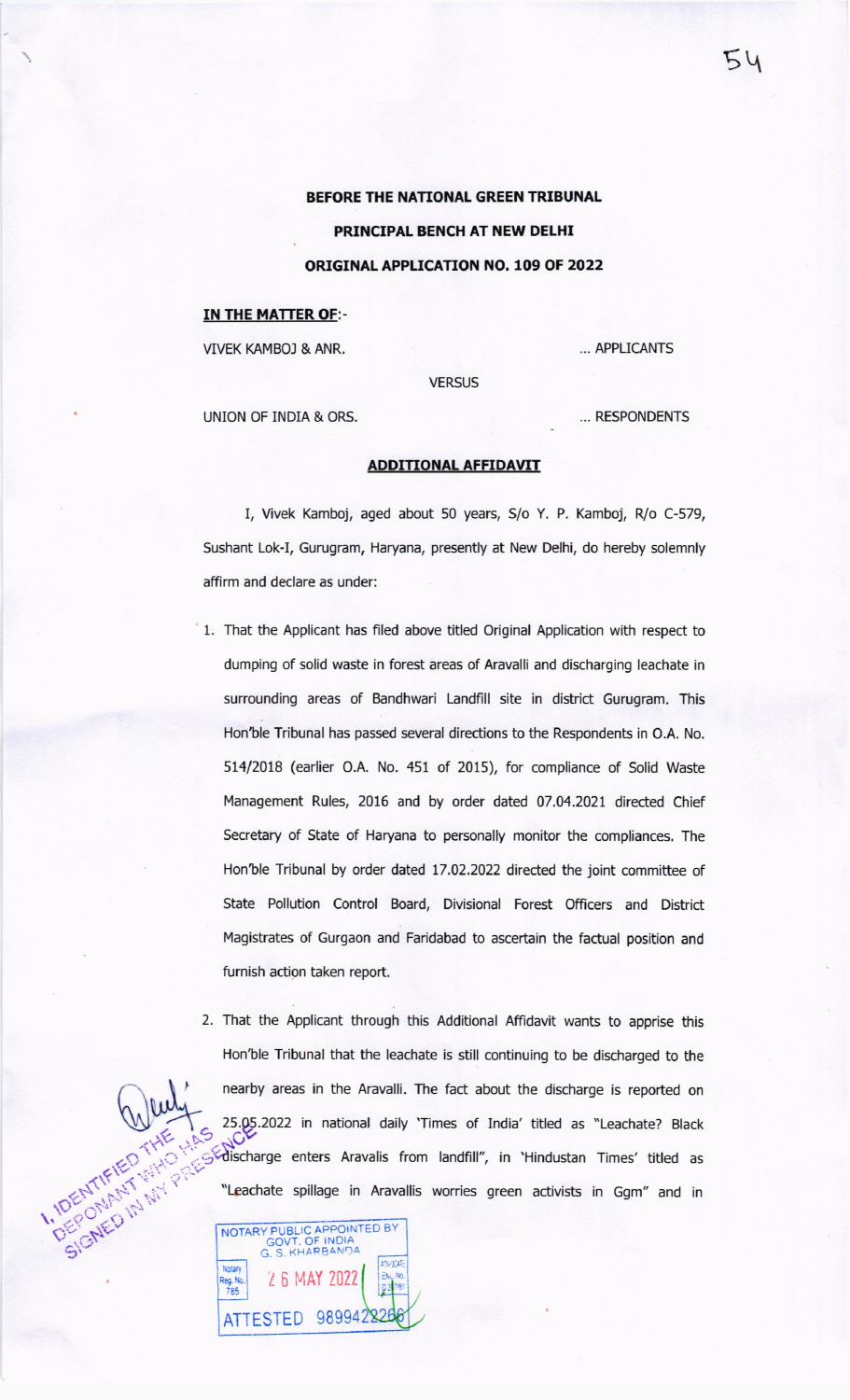BEFORE THE NATIONAL GREEN TRIBUNAL PRINCIPAL BENCH AT NEW DELHI ORIGINAL APPLICATION NO. 109 OF 2022

### IN THE MATTER OF:-

VIVEK KAMBO] & ANR,

... APPLICANTS

**VERSUS** 

UNION OF INDIA & ORS. . RESPONDENTS

### ADDITIONAL AFFIDAVIT

I, Vivek Kamboj, aged about 50 years, S/o Y. P. Kamboj. R/o C-579, Sushant Lok-I, Gurugram, Haryana, presently at New Delhi, do hereby solemnly affirm and declare as under:

- 1. That the Applicant has filed above titled Original Application with respect to dumping of solid waste in forest areas of Aravalli and discharging leachate in surrounding areas of Bandhwari Landfill site in district Gurugram. This Hon'ble Tribunal has passed several directions to the Respondents in O.A. No. 514/2018 (earlier O.A. No. 451 of 2015), for compliance of Solid Waste Management Rules, 2016 and by order dated 07.04.2021 directed Chief Secretary of State of Haryana to personally monitor the compliances. The Hon'ble Tribunal by order dated 17.02.2022 directed the joint committee of State Pollution Control Board, Divisional Forest Officers and District Magistrates of Gurgaon and Faridabad to ascertain the factual position and furnish action taken report,
- 2. That the Applicant through this Additional Affidavit wants to apprise this Hon'ble Tribunal that the leachate is still continuing to be discharged to the nearby areas in the Aravalli. The fact about the discharge is reported on 25.05.2022 in national daily 'Times of India' titled as "Leachate? Black Schischarge enters Aravalis from landfill", in 'Hindustan Times' titled as "Leachate spillage in Aravallis worries green activists in Ggm" and in

Z 6 MAY ?022 keg, No.<br>785 ATTESTED 98994 :\_1t)r: NOTARY PUBLIC APPOINTED BY<br>GOVT, OF INDIA<br>G. S. KHARBANDA

 $54$